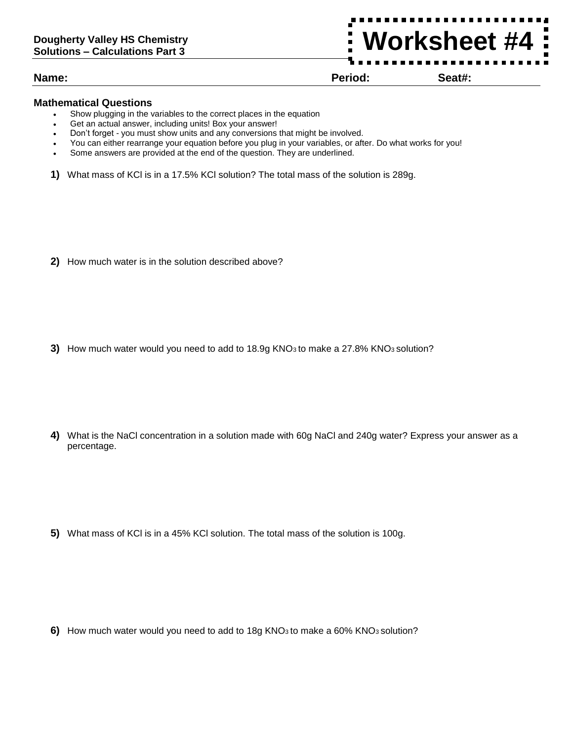**Name: Period: Seat#:**

**Worksheet #4**

## **Mathematical Questions**

- Show plugging in the variables to the correct places in the equation
- Get an actual answer, including units! Box your answer!
- Don't forget you must show units and any conversions that might be involved.
- You can either rearrange your equation before you plug in your variables, or after. Do what works for you!
- Some answers are provided at the end of the question. They are underlined.
- **1)** What mass of KCl is in a 17.5% KCl solution? The total mass of the solution is 289g.

**2)** How much water is in the solution described above?

**3)** How much water would you need to add to 18.9g KNO3 to make a 27.8% KNO3 solution?

**4)** What is the NaCl concentration in a solution made with 60g NaCl and 240g water? Express your answer as a percentage.

**5)** What mass of KCl is in a 45% KCl solution. The total mass of the solution is 100g.

**6)** How much water would you need to add to 18g KNO3 to make a 60% KNO3 solution?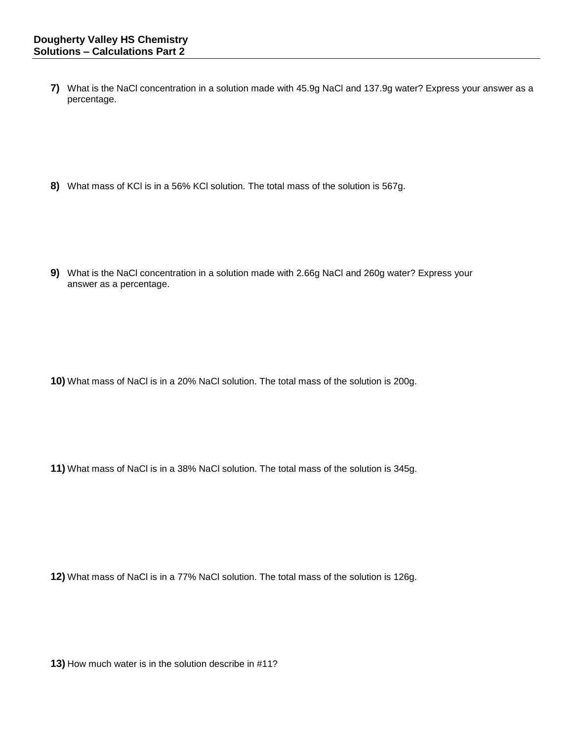**7)** What is the NaCl concentration in a solution made with 45.9g NaCl and 137.9g water? Express your answer as a percentage.

**8)** What mass of KCl is in a 56% KCl solution. The total mass of the solution is 567g.

**9)** What is the NaCl concentration in a solution made with 2.66g NaCl and 260g water? Express your answer as a percentage.

**10)** What mass of NaCl is in a 20% NaCl solution. The total mass of the solution is 200g.

**11)** What mass of NaCl is in a 38% NaCl solution. The total mass of the solution is 345g.

**12)** What mass of NaCl is in a 77% NaCl solution. The total mass of the solution is 126g.

**13)** How much water is in the solution describe in #11?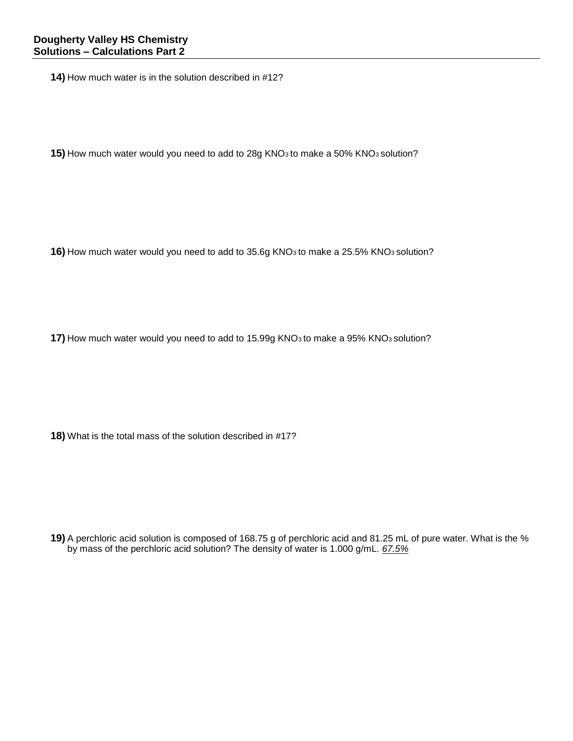**14)** How much water is in the solution described in #12?

**15)** How much water would you need to add to 28g KNO3 to make a 50% KNO3 solution?

**16)** How much water would you need to add to 35.6g KNO3 to make a 25.5% KNO3 solution?

**17)** How much water would you need to add to 15.99g KNO<sub>3</sub> to make a 95% KNO<sub>3</sub> solution?

**18)** What is the total mass of the solution described in #17?

**19)** A perchloric acid solution is composed of 168.75 g of perchloric acid and 81.25 mL of pure water. What is the % by mass of the perchloric acid solution? The density of water is 1.000 g/mL. *67.5%*